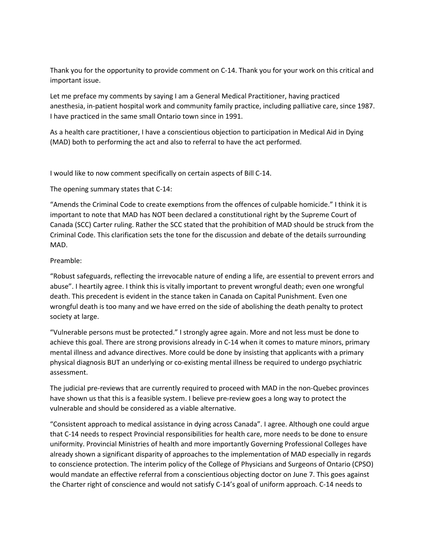Thank you for the opportunity to provide comment on C-14. Thank you for your work on this critical and important issue.

Let me preface my comments by saying I am a General Medical Practitioner, having practiced anesthesia, in-patient hospital work and community family practice, including palliative care, since 1987. I have practiced in the same small Ontario town since in 1991.

As a health care practitioner, I have a conscientious objection to participation in Medical Aid in Dying (MAD) both to performing the act and also to referral to have the act performed.

I would like to now comment specifically on certain aspects of Bill C-14.

The opening summary states that C-14:

"Amends the Criminal Code to create exemptions from the offences of culpable homicide." I think it is important to note that MAD has NOT been declared a constitutional right by the Supreme Court of Canada (SCC) Carter ruling. Rather the SCC stated that the prohibition of MAD should be struck from the Criminal Code. This clarification sets the tone for the discussion and debate of the details surrounding MAD.

## Preamble:

"Robust safeguards, reflecting the irrevocable nature of ending a life, are essential to prevent errors and abuse". I heartily agree. I think this is vitally important to prevent wrongful death; even one wrongful death. This precedent is evident in the stance taken in Canada on Capital Punishment. Even one wrongful death is too many and we have erred on the side of abolishing the death penalty to protect society at large.

"Vulnerable persons must be protected." I strongly agree again. More and not less must be done to achieve this goal. There are strong provisions already in C-14 when it comes to mature minors, primary mental illness and advance directives. More could be done by insisting that applicants with a primary physical diagnosis BUT an underlying or co-existing mental illness be required to undergo psychiatric assessment.

The judicial pre-reviews that are currently required to proceed with MAD in the non-Quebec provinces have shown us that this is a feasible system. I believe pre-review goes a long way to protect the vulnerable and should be considered as a viable alternative.

"Consistent approach to medical assistance in dying across Canada". I agree. Although one could argue that C-14 needs to respect Provincial responsibilities for health care, more needs to be done to ensure uniformity. Provincial Ministries of health and more importantly Governing Professional Colleges have already shown a significant disparity of approaches to the implementation of MAD especially in regards to conscience protection. The interim policy of the College of Physicians and Surgeons of Ontario (CPSO) would mandate an effective referral from a conscientious objecting doctor on June 7. This goes against the Charter right of conscience and would not satisfy C-14's goal of uniform approach. C-14 needs to